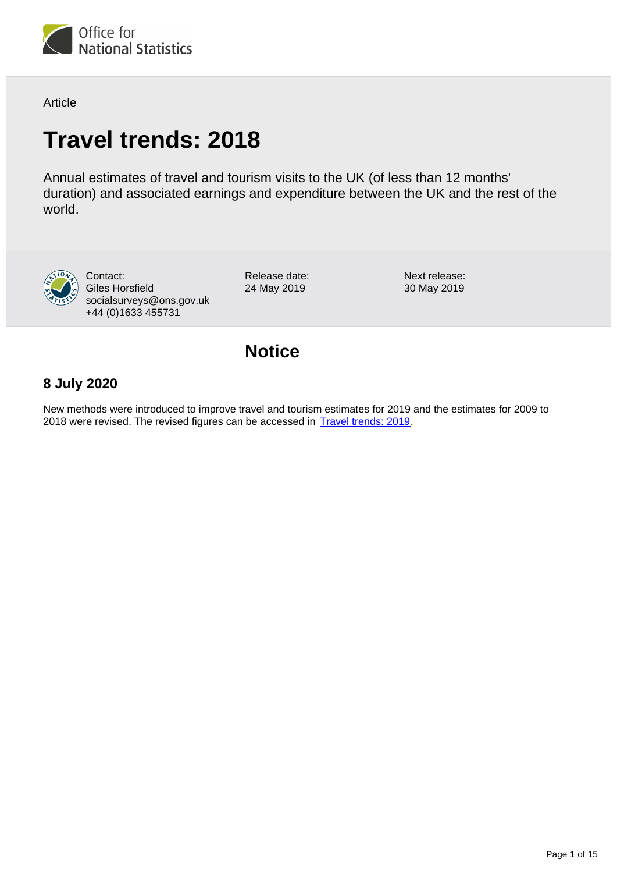

Article

# **Travel trends: 2018**

Annual estimates of travel and tourism visits to the UK (of less than 12 months' duration) and associated earnings and expenditure between the UK and the rest of the world.



Contact: Giles Horsfield socialsurveys@ons.gov.uk +44 (0)1633 455731

Release date: 24 May 2019

Next release: 30 May 2019

## **Notice**

## **8 July 2020**

New methods were introduced to improve travel and tourism estimates for 2019 and the estimates for 2009 to 2018 were revised. The revised figures can be accessed in **[Travel trends: 2019](https://www.ons.gov.uk/peoplepopulationandcommunity/leisureandtourism/articles/traveltrends/2019)**.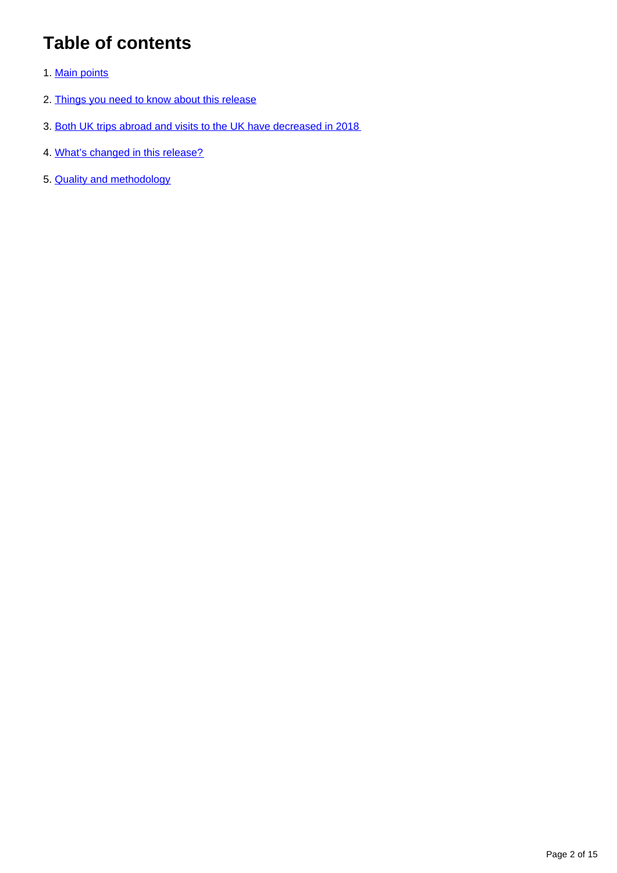## **Table of contents**

- 1. [Main points](#page-2-0)
- 2. [Things you need to know about this release](#page-2-1)
- 3. [Both UK trips abroad and visits to the UK have decreased in 2018](#page-3-0)
- 4. [What's changed in this release?](#page-10-0)
- 5. [Quality and methodology](#page-10-1)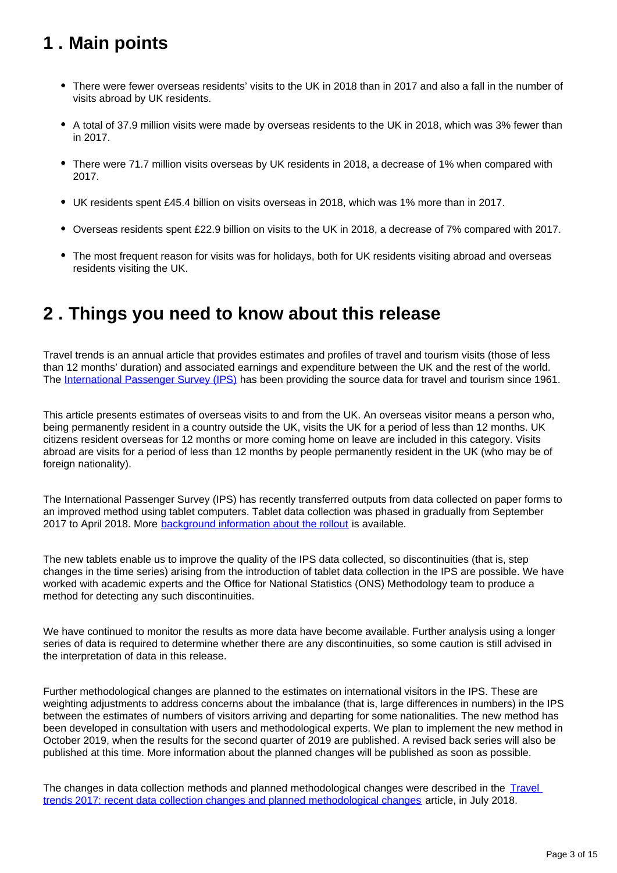## <span id="page-2-0"></span>**1 . Main points**

- There were fewer overseas residents' visits to the UK in 2018 than in 2017 and also a fall in the number of visits abroad by UK residents.
- A total of 37.9 million visits were made by overseas residents to the UK in 2018, which was 3% fewer than in 2017.
- There were 71.7 million visits overseas by UK residents in 2018, a decrease of 1% when compared with 2017.
- UK residents spent £45.4 billion on visits overseas in 2018, which was 1% more than in 2017.
- Overseas residents spent £22.9 billion on visits to the UK in 2018, a decrease of 7% compared with 2017.
- The most frequent reason for visits was for holidays, both for UK residents visiting abroad and overseas residents visiting the UK.

## <span id="page-2-1"></span>**2 . Things you need to know about this release**

Travel trends is an annual article that provides estimates and profiles of travel and tourism visits (those of less than 12 months' duration) and associated earnings and expenditure between the UK and the rest of the world. The [International Passenger Survey \(IPS\)](https://www.ons.gov.uk/surveys/informationforhouseholdsandindividuals/householdandindividualsurveys/internationalpassengersurvey) has been providing the source data for travel and tourism since 1961.

This article presents estimates of overseas visits to and from the UK. An overseas visitor means a person who, being permanently resident in a country outside the UK, visits the UK for a period of less than 12 months. UK citizens resident overseas for 12 months or more coming home on leave are included in this category. Visits abroad are visits for a period of less than 12 months by people permanently resident in the UK (who may be of foreign nationality).

The International Passenger Survey (IPS) has recently transferred outputs from data collected on paper forms to an improved method using tablet computers. Tablet data collection was phased in gradually from September 2017 to April 2018. More **background information about the rollout** is available.

The new tablets enable us to improve the quality of the IPS data collected, so discontinuities (that is, step changes in the time series) arising from the introduction of tablet data collection in the IPS are possible. We have worked with academic experts and the Office for National Statistics (ONS) Methodology team to produce a method for detecting any such discontinuities.

We have continued to monitor the results as more data have become available. Further analysis using a longer series of data is required to determine whether there are any discontinuities, so some caution is still advised in the interpretation of data in this release.

Further methodological changes are planned to the estimates on international visitors in the IPS. These are weighting adjustments to address concerns about the imbalance (that is, large differences in numbers) in the IPS between the estimates of numbers of visitors arriving and departing for some nationalities. The new method has been developed in consultation with users and methodological experts. We plan to implement the new method in October 2019, when the results for the second quarter of 2019 are published. A revised back series will also be published at this time. More information about the planned changes will be published as soon as possible.

The changes in data collection methods and planned methodological changes were described in the Travel [trends 2017: recent data collection changes and planned methodological changes](https://www.ons.gov.uk/peoplepopulationandcommunity/leisureandtourism/articles/traveltrends2017recentdatacollectionchangesandplannedmethodologicalchanges/2018-07-20) article, in July 2018.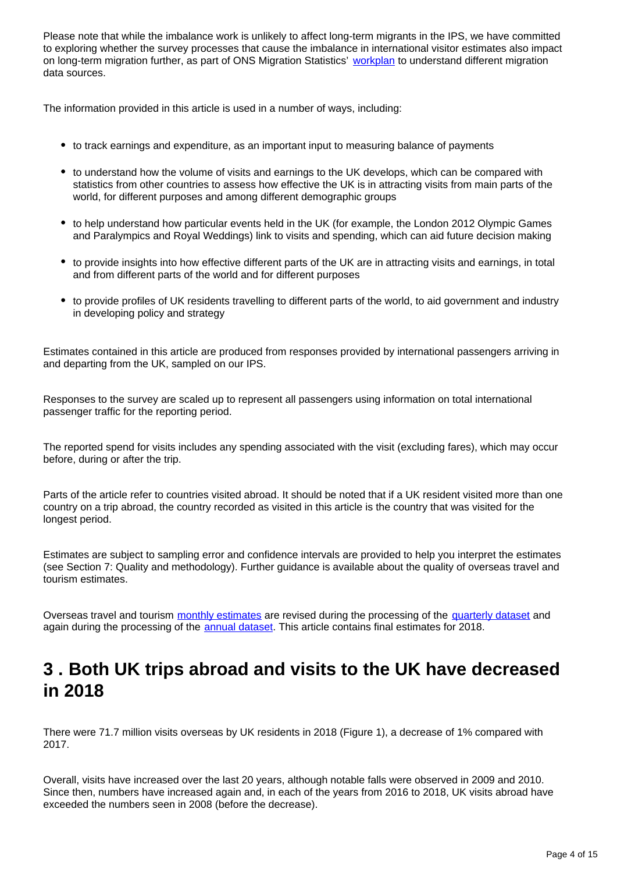Please note that while the imbalance work is unlikely to affect long-term migrants in the IPS, we have committed to exploring whether the survey processes that cause the imbalance in international visitor estimates also impact on long-term migration further, as part of ONS Migration Statistics' [workplan](https://www.ons.gov.uk/peoplepopulationandcommunity/populationandmigration/internationalmigration/articles/understandingdifferentmigrationdatasourcesaworkplan/february2019) to understand different migration data sources.

The information provided in this article is used in a number of ways, including:

- to track earnings and expenditure, as an important input to measuring balance of payments
- to understand how the volume of visits and earnings to the UK develops, which can be compared with statistics from other countries to assess how effective the UK is in attracting visits from main parts of the world, for different purposes and among different demographic groups
- to help understand how particular events held in the UK (for example, the London 2012 Olympic Games and Paralympics and Royal Weddings) link to visits and spending, which can aid future decision making
- to provide insights into how effective different parts of the UK are in attracting visits and earnings, in total and from different parts of the world and for different purposes
- to provide profiles of UK residents travelling to different parts of the world, to aid government and industry in developing policy and strategy

Estimates contained in this article are produced from responses provided by international passengers arriving in and departing from the UK, sampled on our IPS.

Responses to the survey are scaled up to represent all passengers using information on total international passenger traffic for the reporting period.

The reported spend for visits includes any spending associated with the visit (excluding fares), which may occur before, during or after the trip.

Parts of the article refer to countries visited abroad. It should be noted that if a UK resident visited more than one country on a trip abroad, the country recorded as visited in this article is the country that was visited for the longest period.

Estimates are subject to sampling error and confidence intervals are provided to help you interpret the estimates (see Section 7: Quality and methodology). Further guidance is available about the quality of overseas travel and tourism estimates.

Overseas travel and tourism [monthly estimates](https://www.ons.gov.uk/peoplepopulationandcommunity/leisureandtourism/datasets/monthlyoverseastravelandtourismreferencetables) are revised during the processing of the [quarterly dataset](https://www.ons.gov.uk/peoplepopulationandcommunity/leisureandtourism/datasets/overseastravelandtourism) and again during the processing of the **annual dataset**. This article contains final estimates for 2018.

## <span id="page-3-0"></span>**3 . Both UK trips abroad and visits to the UK have decreased in 2018**

There were 71.7 million visits overseas by UK residents in 2018 (Figure 1), a decrease of 1% compared with 2017.

Overall, visits have increased over the last 20 years, although notable falls were observed in 2009 and 2010. Since then, numbers have increased again and, in each of the years from 2016 to 2018, UK visits abroad have exceeded the numbers seen in 2008 (before the decrease).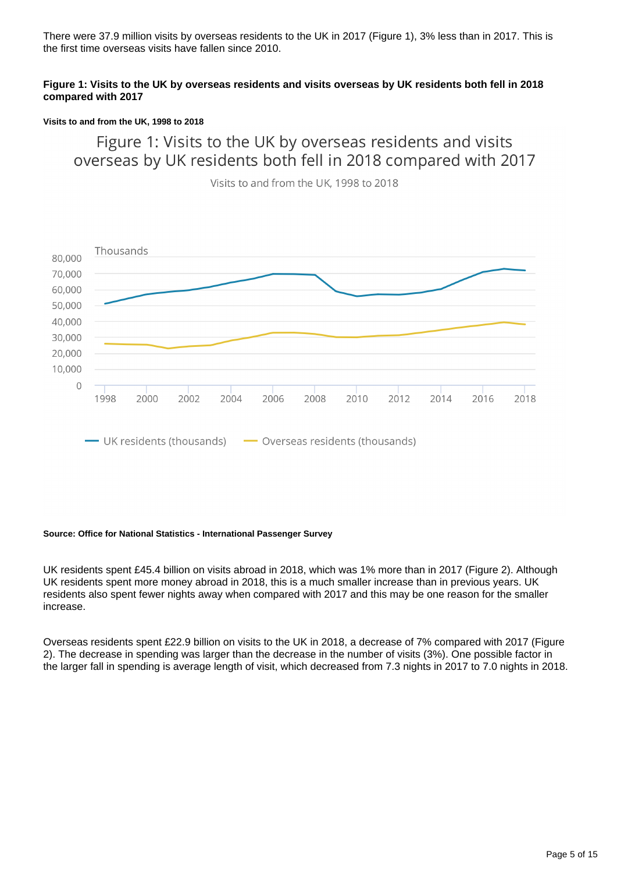There were 37.9 million visits by overseas residents to the UK in 2017 (Figure 1), 3% less than in 2017. This is the first time overseas visits have fallen since 2010.

#### **Figure 1: Visits to the UK by overseas residents and visits overseas by UK residents both fell in 2018 compared with 2017**

#### **Visits to and from the UK, 1998 to 2018**

Figure 1: Visits to the UK by overseas residents and visits overseas by UK residents both fell in 2018 compared with 2017

Visits to and from the UK, 1998 to 2018



#### **Source: Office for National Statistics - International Passenger Survey**

UK residents spent £45.4 billion on visits abroad in 2018, which was 1% more than in 2017 (Figure 2). Although UK residents spent more money abroad in 2018, this is a much smaller increase than in previous years. UK residents also spent fewer nights away when compared with 2017 and this may be one reason for the smaller increase.

Overseas residents spent £22.9 billion on visits to the UK in 2018, a decrease of 7% compared with 2017 (Figure 2). The decrease in spending was larger than the decrease in the number of visits (3%). One possible factor in the larger fall in spending is average length of visit, which decreased from 7.3 nights in 2017 to 7.0 nights in 2018.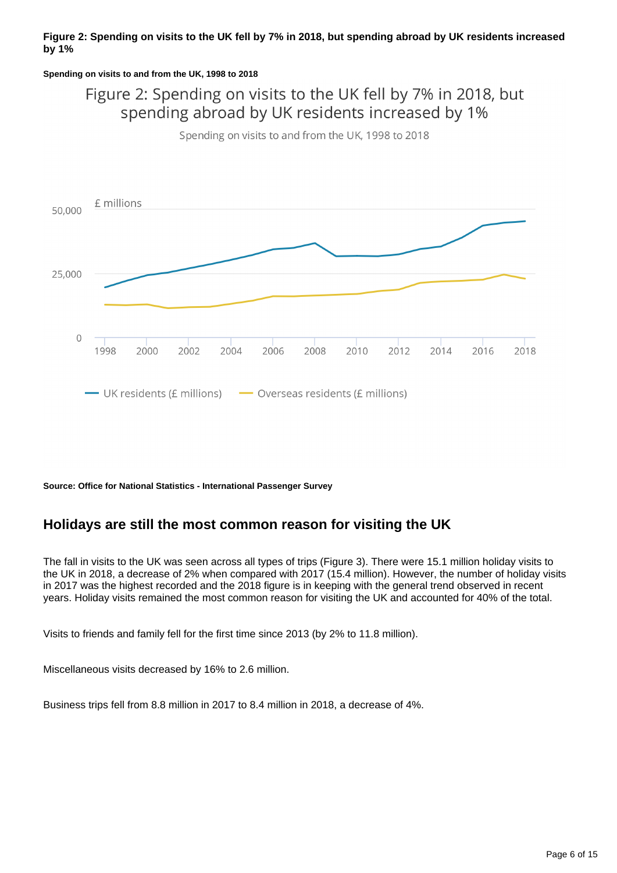#### **Figure 2: Spending on visits to the UK fell by 7% in 2018, but spending abroad by UK residents increased by 1%**

#### **Spending on visits to and from the UK, 1998 to 2018**

## Figure 2: Spending on visits to the UK fell by 7% in 2018, but spending abroad by UK residents increased by 1%

Spending on visits to and from the UK, 1998 to 2018



**Source: Office for National Statistics - International Passenger Survey**

### **Holidays are still the most common reason for visiting the UK**

The fall in visits to the UK was seen across all types of trips (Figure 3). There were 15.1 million holiday visits to the UK in 2018, a decrease of 2% when compared with 2017 (15.4 million). However, the number of holiday visits in 2017 was the highest recorded and the 2018 figure is in keeping with the general trend observed in recent years. Holiday visits remained the most common reason for visiting the UK and accounted for 40% of the total.

Visits to friends and family fell for the first time since 2013 (by 2% to 11.8 million).

Miscellaneous visits decreased by 16% to 2.6 million.

Business trips fell from 8.8 million in 2017 to 8.4 million in 2018, a decrease of 4%.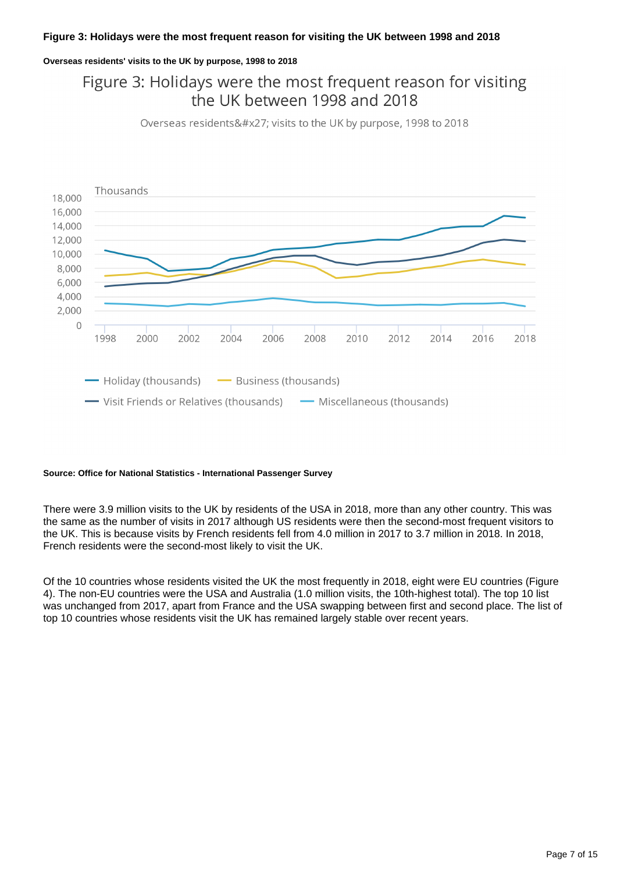#### **Figure 3: Holidays were the most frequent reason for visiting the UK between 1998 and 2018**

#### **Overseas residents' visits to the UK by purpose, 1998 to 2018**

## Figure 3: Holidays were the most frequent reason for visiting the UK between 1998 and 2018

Overseas residents' visits to the UK by purpose, 1998 to 2018



#### **Source: Office for National Statistics - International Passenger Survey**

There were 3.9 million visits to the UK by residents of the USA in 2018, more than any other country. This was the same as the number of visits in 2017 although US residents were then the second-most frequent visitors to the UK. This is because visits by French residents fell from 4.0 million in 2017 to 3.7 million in 2018. In 2018, French residents were the second-most likely to visit the UK.

Of the 10 countries whose residents visited the UK the most frequently in 2018, eight were EU countries (Figure 4). The non-EU countries were the USA and Australia (1.0 million visits, the 10th-highest total). The top 10 list was unchanged from 2017, apart from France and the USA swapping between first and second place. The list of top 10 countries whose residents visit the UK has remained largely stable over recent years.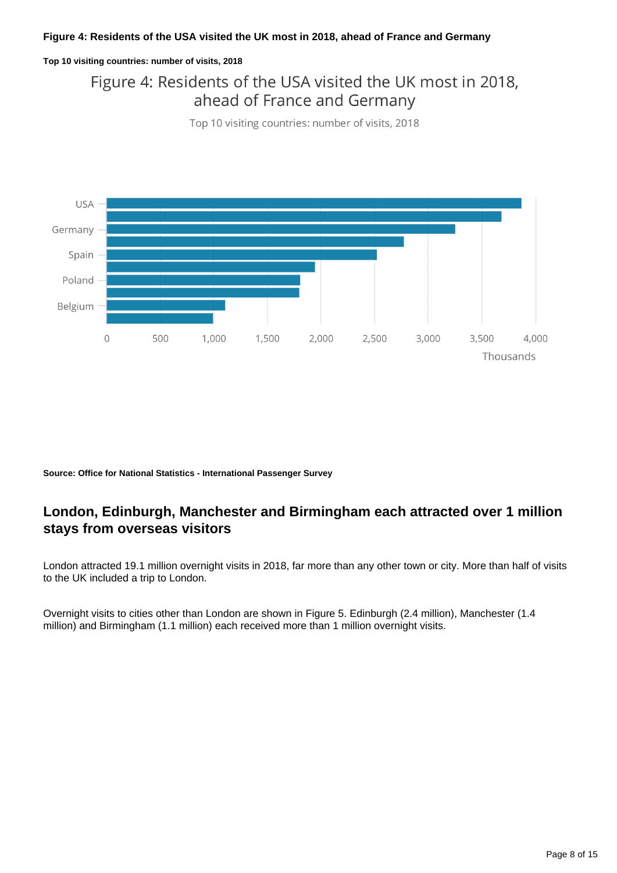#### **Figure 4: Residents of the USA visited the UK most in 2018, ahead of France and Germany**

#### **Top 10 visiting countries: number of visits, 2018**

## Figure 4: Residents of the USA visited the UK most in 2018, ahead of France and Germany

Top 10 visiting countries: number of visits, 2018



**Source: Office for National Statistics - International Passenger Survey**

### **London, Edinburgh, Manchester and Birmingham each attracted over 1 million stays from overseas visitors**

London attracted 19.1 million overnight visits in 2018, far more than any other town or city. More than half of visits to the UK included a trip to London.

Overnight visits to cities other than London are shown in Figure 5. Edinburgh (2.4 million), Manchester (1.4 million) and Birmingham (1.1 million) each received more than 1 million overnight visits.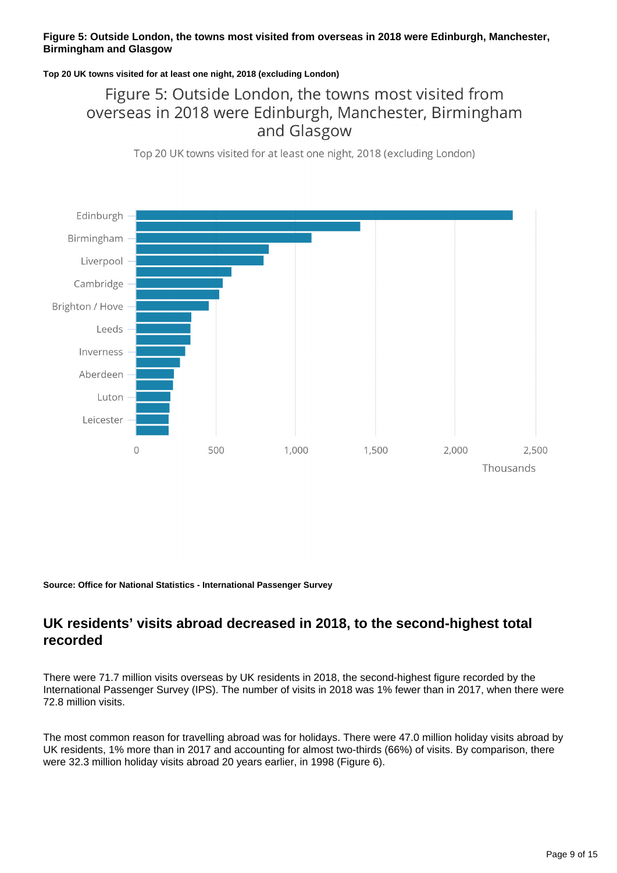#### **Figure 5: Outside London, the towns most visited from overseas in 2018 were Edinburgh, Manchester, Birmingham and Glasgow**

#### **Top 20 UK towns visited for at least one night, 2018 (excluding London)**

## Figure 5: Outside London, the towns most visited from overseas in 2018 were Edinburgh, Manchester, Birmingham and Glasgow

Top 20 UK towns visited for at least one night, 2018 (excluding London)



**Source: Office for National Statistics - International Passenger Survey**

### **UK residents' visits abroad decreased in 2018, to the second-highest total recorded**

There were 71.7 million visits overseas by UK residents in 2018, the second-highest figure recorded by the International Passenger Survey (IPS). The number of visits in 2018 was 1% fewer than in 2017, when there were 72.8 million visits.

The most common reason for travelling abroad was for holidays. There were 47.0 million holiday visits abroad by UK residents, 1% more than in 2017 and accounting for almost two-thirds (66%) of visits. By comparison, there were 32.3 million holiday visits abroad 20 years earlier, in 1998 (Figure 6).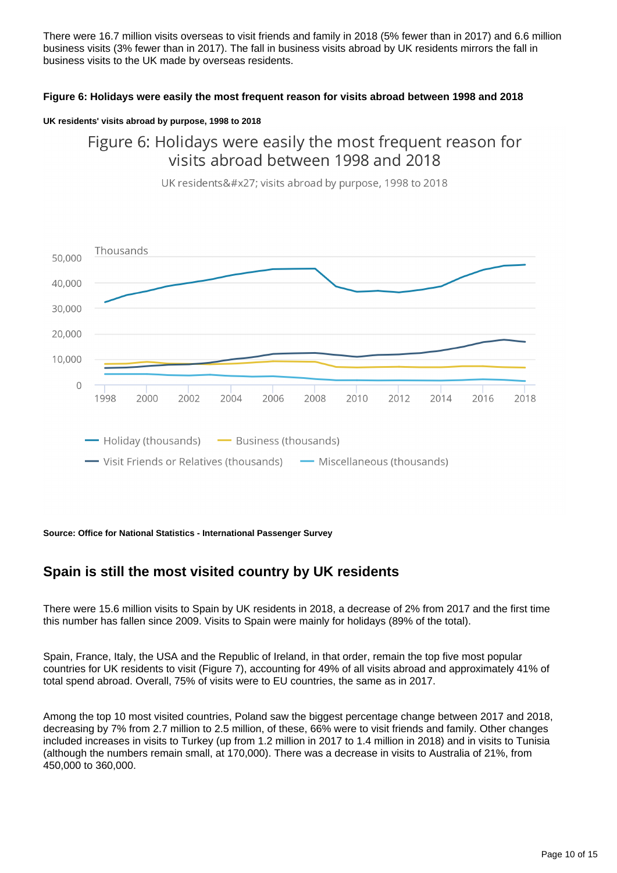There were 16.7 million visits overseas to visit friends and family in 2018 (5% fewer than in 2017) and 6.6 million business visits (3% fewer than in 2017). The fall in business visits abroad by UK residents mirrors the fall in business visits to the UK made by overseas residents.

#### **Figure 6: Holidays were easily the most frequent reason for visits abroad between 1998 and 2018**

#### **UK residents' visits abroad by purpose, 1998 to 2018**

## Figure 6: Holidays were easily the most frequent reason for visits abroad between 1998 and 2018



UK residents' visits abroad by purpose, 1998 to 2018

**Source: Office for National Statistics - International Passenger Survey**

### **Spain is still the most visited country by UK residents**

There were 15.6 million visits to Spain by UK residents in 2018, a decrease of 2% from 2017 and the first time this number has fallen since 2009. Visits to Spain were mainly for holidays (89% of the total).

Spain, France, Italy, the USA and the Republic of Ireland, in that order, remain the top five most popular countries for UK residents to visit (Figure 7), accounting for 49% of all visits abroad and approximately 41% of total spend abroad. Overall, 75% of visits were to EU countries, the same as in 2017.

Among the top 10 most visited countries, Poland saw the biggest percentage change between 2017 and 2018, decreasing by 7% from 2.7 million to 2.5 million, of these, 66% were to visit friends and family. Other changes included increases in visits to Turkey (up from 1.2 million in 2017 to 1.4 million in 2018) and in visits to Tunisia (although the numbers remain small, at 170,000). There was a decrease in visits to Australia of 21%, from 450,000 to 360,000.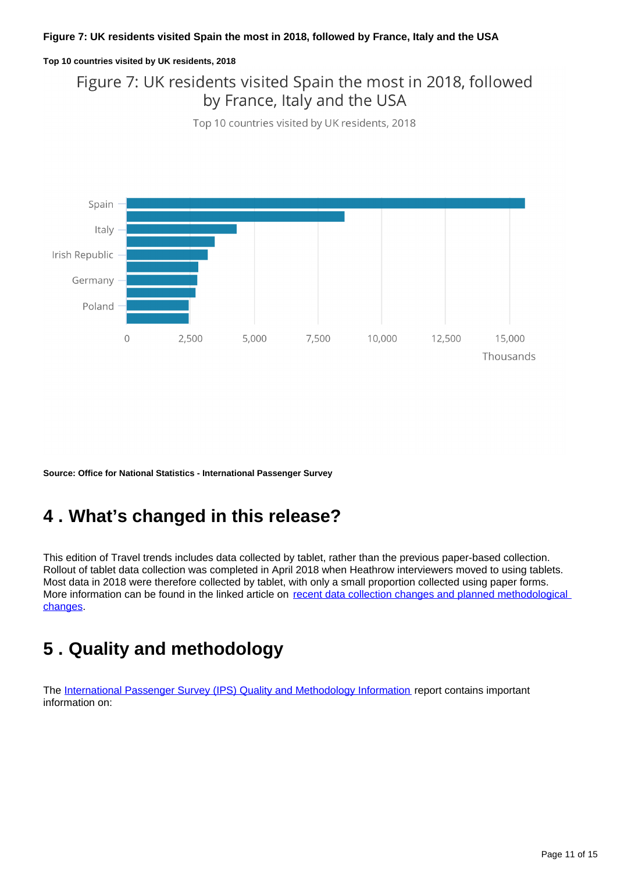#### **Figure 7: UK residents visited Spain the most in 2018, followed by France, Italy and the USA**

#### **Top 10 countries visited by UK residents, 2018**

## Figure 7: UK residents visited Spain the most in 2018, followed by France, Italy and the USA

Top 10 countries visited by UK residents, 2018



**Source: Office for National Statistics - International Passenger Survey**

## <span id="page-10-0"></span>**4 . What's changed in this release?**

This edition of Travel trends includes data collected by tablet, rather than the previous paper-based collection. Rollout of tablet data collection was completed in April 2018 when Heathrow interviewers moved to using tablets. Most data in 2018 were therefore collected by tablet, with only a small proportion collected using paper forms. More information can be found in the linked article on recent data collection changes and planned methodological [changes.](https://www.ons.gov.uk/peoplepopulationandcommunity/leisureandtourism/articles/traveltrends2017recentdatacollectionchangesandplannedmethodologicalchanges/2018-07-20)

## <span id="page-10-1"></span>**5 . Quality and methodology**

The [International Passenger Survey \(IPS\) Quality and Methodology Information](https://www.ons.gov.uk/peoplepopulationandcommunity/leisureandtourism/qmis/internationalpassengersurveyipsqmi) report contains important information on: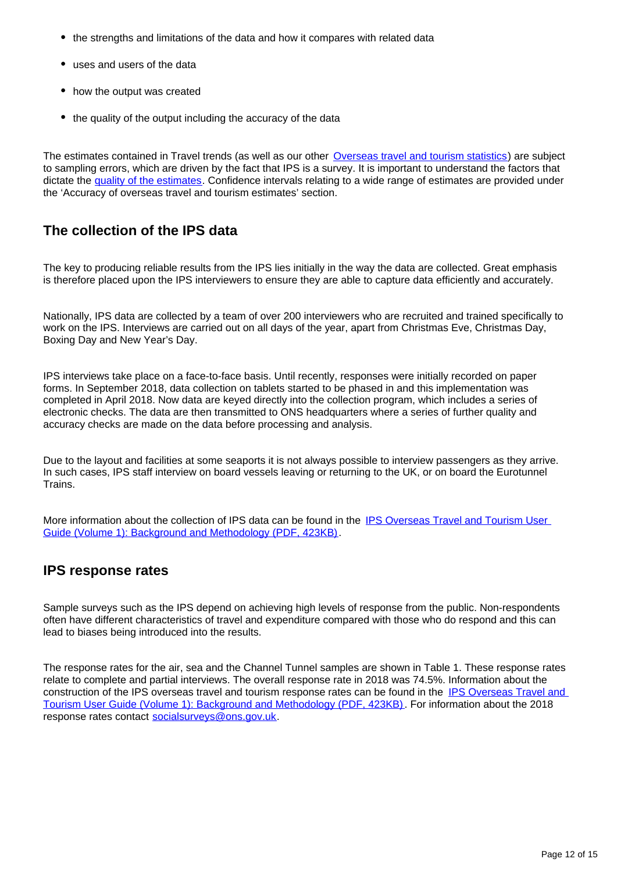- the strengths and limitations of the data and how it compares with related data
- uses and users of the data
- how the output was created
- the quality of the output including the accuracy of the data

The estimates contained in Travel trends (as well as our other [Overseas travel and tourism statistics](http://www.ons.gov.uk/peoplepopulationandcommunity/leisureandtourism/bulletins/overseastravelandtourism/previousReleases)) are subject to sampling errors, which are driven by the fact that IPS is a survey. It is important to understand the factors that dictate the [quality of the estimates](https://www.ons.gov.uk/peoplepopulationandcommunity/populationandmigration/internationalmigration/methodologies/internationalpassengersurveyqualityinformationinrelationtomigrationflows). Confidence intervals relating to a wide range of estimates are provided under the 'Accuracy of overseas travel and tourism estimates' section.

### **The collection of the IPS data**

The key to producing reliable results from the IPS lies initially in the way the data are collected. Great emphasis is therefore placed upon the IPS interviewers to ensure they are able to capture data efficiently and accurately.

Nationally, IPS data are collected by a team of over 200 interviewers who are recruited and trained specifically to work on the IPS. Interviews are carried out on all days of the year, apart from Christmas Eve, Christmas Day, Boxing Day and New Year's Day.

IPS interviews take place on a face-to-face basis. Until recently, responses were initially recorded on paper forms. In September 2018, data collection on tablets started to be phased in and this implementation was completed in April 2018. Now data are keyed directly into the collection program, which includes a series of electronic checks. The data are then transmitted to ONS headquarters where a series of further quality and accuracy checks are made on the data before processing and analysis.

Due to the layout and facilities at some seaports it is not always possible to interview passengers as they arrive. In such cases, IPS staff interview on board vessels leaving or returning to the UK, or on board the Eurotunnel **Trains** 

More information about the collection of IPS data can be found in the [IPS Overseas Travel and Tourism User](http://webarchive.nationalarchives.gov.uk/20160105160709/http:/www.ons.gov.uk/ons/guide-method/method-quality/specific/travel-and-transport-methodology/international-passenger-survey-methodology/ips-user-guide-volume-1--background---methodology.pdf)  [Guide \(Volume 1\): Background and Methodology \(PDF, 423KB\).](http://webarchive.nationalarchives.gov.uk/20160105160709/http:/www.ons.gov.uk/ons/guide-method/method-quality/specific/travel-and-transport-methodology/international-passenger-survey-methodology/ips-user-guide-volume-1--background---methodology.pdf)

### **IPS response rates**

Sample surveys such as the IPS depend on achieving high levels of response from the public. Non-respondents often have different characteristics of travel and expenditure compared with those who do respond and this can lead to biases being introduced into the results.

The response rates for the air, sea and the Channel Tunnel samples are shown in Table 1. These response rates relate to complete and partial interviews. The overall response rate in 2018 was 74.5%. Information about the construction of the IPS overseas travel and tourism response rates can be found in the [IPS Overseas Travel and](http://webarchive.nationalarchives.gov.uk/20160105160709/http:/www.ons.gov.uk/ons/guide-method/method-quality/specific/travel-and-transport-methodology/international-passenger-survey-methodology/ips-user-guide-volume-1--background---methodology.pdf)  [Tourism User Guide \(Volume 1\): Background and Methodology \(PDF, 423KB\)](http://webarchive.nationalarchives.gov.uk/20160105160709/http:/www.ons.gov.uk/ons/guide-method/method-quality/specific/travel-and-transport-methodology/international-passenger-survey-methodology/ips-user-guide-volume-1--background---methodology.pdf). For information about the 2018 response rates contact socialsurveys@ons.gov.uk.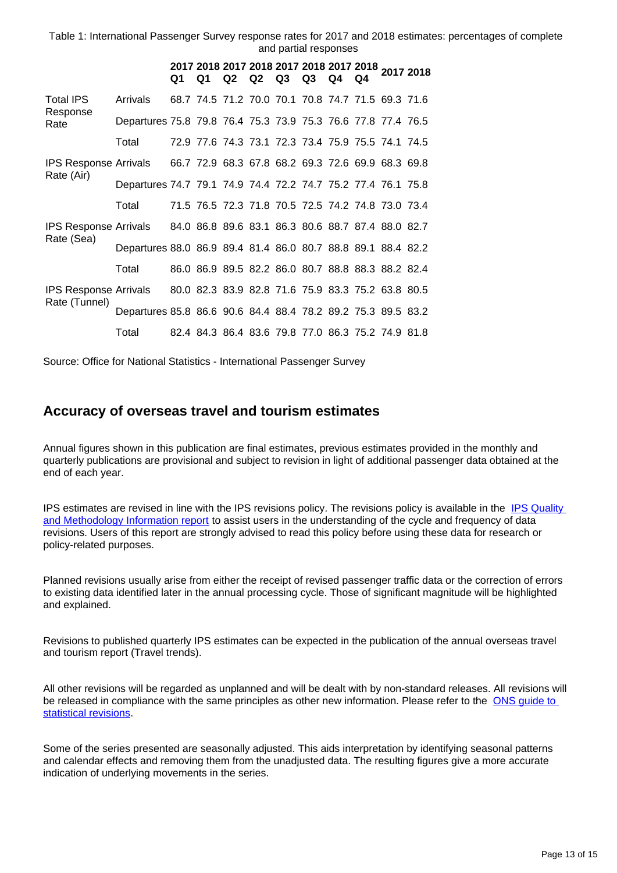Table 1: International Passenger Survey response rates for 2017 and 2018 estimates: percentages of complete and partial responses

|                                                                                          |                                                              | Q1 | Q1 |  | Q <sub>2</sub> Q <sub>2</sub> Q <sub>3</sub> | $Q3$ $Q4$ | Q4 | 2017 2018 2017 2018 2017 2018 2017 2018 2017 2018 |  |
|------------------------------------------------------------------------------------------|--------------------------------------------------------------|----|----|--|----------------------------------------------|-----------|----|---------------------------------------------------|--|
| <b>Total IPS</b><br>Response<br>Rate                                                     | Arrivals                                                     |    |    |  |                                              |           |    | 68.7 74.5 71.2 70.0 70.1 70.8 74.7 71.5 69.3 71.6 |  |
|                                                                                          | Departures 75.8 79.8 76.4 75.3 73.9 75.3 76.6 77.8 77.4 76.5 |    |    |  |                                              |           |    |                                                   |  |
|                                                                                          | Total                                                        |    |    |  |                                              |           |    | 72.9 77.6 74.3 73.1 72.3 73.4 75.9 75.5 74.1 74.5 |  |
| IPS Response Arrivals 66.7 72.9 68.3 67.8 68.2 69.3 72.6 69.9 68.3 69.8<br>Rate (Air)    |                                                              |    |    |  |                                              |           |    |                                                   |  |
|                                                                                          | Departures 74.7 79.1 74.9 74.4 72.2 74.7 75.2 77.4 76.1 75.8 |    |    |  |                                              |           |    |                                                   |  |
|                                                                                          | Total                                                        |    |    |  |                                              |           |    | 71.5 76.5 72.3 71.8 70.5 72.5 74.2 74.8 73.0 73.4 |  |
| IPS Response Arrivals 84.0 86.8 89.6 83.1 86.3 80.6 88.7 87.4 88.0 82.7<br>Rate (Sea)    |                                                              |    |    |  |                                              |           |    |                                                   |  |
|                                                                                          | Departures 88.0 86.9 89.4 81.4 86.0 80.7 88.8 89.1 88.4 82.2 |    |    |  |                                              |           |    |                                                   |  |
|                                                                                          | Total                                                        |    |    |  |                                              |           |    | 86.0 86.9 89.5 82.2 86.0 80.7 88.8 88.3 88.2 82.4 |  |
| IPS Response Arrivals 80.0 82.3 83.9 82.8 71.6 75.9 83.3 75.2 63.8 80.5<br>Rate (Tunnel) |                                                              |    |    |  |                                              |           |    |                                                   |  |
|                                                                                          | Departures 85.8 86.6 90.6 84.4 88.4 78.2 89.2 75.3 89.5 83.2 |    |    |  |                                              |           |    |                                                   |  |
|                                                                                          | Total                                                        |    |    |  |                                              |           |    | 82.4 84.3 86.4 83.6 79.8 77.0 86.3 75.2 74.9 81.8 |  |

Source: Office for National Statistics - International Passenger Survey

### **Accuracy of overseas travel and tourism estimates**

Annual figures shown in this publication are final estimates, previous estimates provided in the monthly and quarterly publications are provisional and subject to revision in light of additional passenger data obtained at the end of each year.

IPS estimates are revised in line with the IPS revisions policy. The revisions policy is available in the [IPS Quality](https://www.ons.gov.uk/peoplepopulationandcommunity/leisureandtourism/qmis/internationalpassengersurveyipsqmi)  [and Methodology Information report](https://www.ons.gov.uk/peoplepopulationandcommunity/leisureandtourism/qmis/internationalpassengersurveyipsqmi) to assist users in the understanding of the cycle and frequency of data revisions. Users of this report are strongly advised to read this policy before using these data for research or policy-related purposes.

Planned revisions usually arise from either the receipt of revised passenger traffic data or the correction of errors to existing data identified later in the annual processing cycle. Those of significant magnitude will be highlighted and explained.

Revisions to published quarterly IPS estimates can be expected in the publication of the annual overseas travel and tourism report (Travel trends).

All other revisions will be regarded as unplanned and will be dealt with by non-standard releases. All revisions will be released in compliance with the same principles as other new information. Please refer to the [ONS guide to](https://www.ons.gov.uk/methodology/methodologytopicsandstatisticalconcepts/revisions)  [statistical revisions](https://www.ons.gov.uk/methodology/methodologytopicsandstatisticalconcepts/revisions).

Some of the series presented are seasonally adjusted. This aids interpretation by identifying seasonal patterns and calendar effects and removing them from the unadjusted data. The resulting figures give a more accurate indication of underlying movements in the series.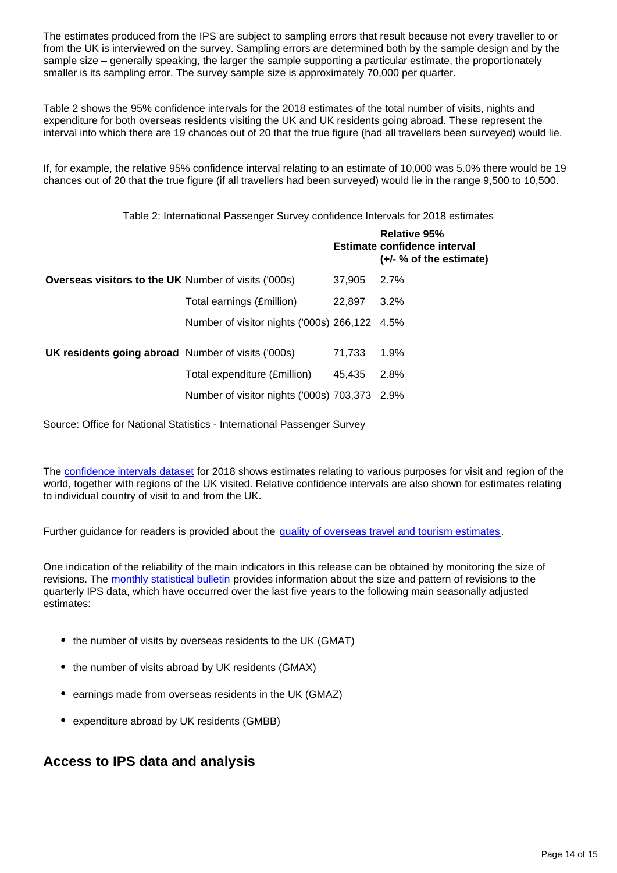The estimates produced from the IPS are subject to sampling errors that result because not every traveller to or from the UK is interviewed on the survey. Sampling errors are determined both by the sample design and by the sample size – generally speaking, the larger the sample supporting a particular estimate, the proportionately smaller is its sampling error. The survey sample size is approximately 70,000 per quarter.

Table 2 shows the 95% confidence intervals for the 2018 estimates of the total number of visits, nights and expenditure for both overseas residents visiting the UK and UK residents going abroad. These represent the interval into which there are 19 chances out of 20 that the true figure (had all travellers been surveyed) would lie.

If, for example, the relative 95% confidence interval relating to an estimate of 10,000 was 5.0% there would be 19 chances out of 20 that the true figure (if all travellers had been surveyed) would lie in the range 9,500 to 10,500.

Table 2: International Passenger Survey confidence Intervals for 2018 estimates

|                                                             |                                               |        | Relative 95%<br>Estimate confidence interval<br>$(+/- % of the estimate)$ |
|-------------------------------------------------------------|-----------------------------------------------|--------|---------------------------------------------------------------------------|
| <b>Overseas visitors to the UK Number of visits ('000s)</b> |                                               | 37.905 | 2.7%                                                                      |
|                                                             | Total earnings (£million)                     | 22,897 | $3.2\%$                                                                   |
|                                                             | Number of visitor nights ('000s) 266,122 4.5% |        |                                                                           |
| <b>UK residents going abroad</b> Number of visits ('000s)   |                                               | 71.733 | 1.9%                                                                      |
|                                                             | Total expenditure (£million)                  | 45.435 | 2.8%                                                                      |
|                                                             | Number of visitor nights ('000s) 703,373 2.9% |        |                                                                           |
|                                                             |                                               |        |                                                                           |

Source: Office for National Statistics - International Passenger Survey

The [confidence intervals dataset](https://www.ons.gov.uk/peoplepopulationandcommunity/leisureandtourism/datasets/traveltrendsconfidenceintervals) for 2018 shows estimates relating to various purposes for visit and region of the world, together with regions of the UK visited. Relative confidence intervals are also shown for estimates relating to individual country of visit to and from the UK.

Further guidance for readers is provided about the [quality of overseas travel and tourism estimates.](https://www.ons.gov.uk/peoplepopulationandcommunity/leisureandtourism/methodologies/internationalpassengersurveyqmi)

One indication of the reliability of the main indicators in this release can be obtained by monitoring the size of revisions. The [monthly statistical bulletin](https://www.ons.gov.uk/peoplepopulationandcommunity/leisureandtourism/bulletins/overseastravelandtourism/previousReleases) provides information about the size and pattern of revisions to the quarterly IPS data, which have occurred over the last five years to the following main seasonally adjusted estimates:

- the number of visits by overseas residents to the UK (GMAT)
- the number of visits abroad by UK residents (GMAX)
- earnings made from overseas residents in the UK (GMAZ)
- expenditure abroad by UK residents (GMBB)

#### **Access to IPS data and analysis**